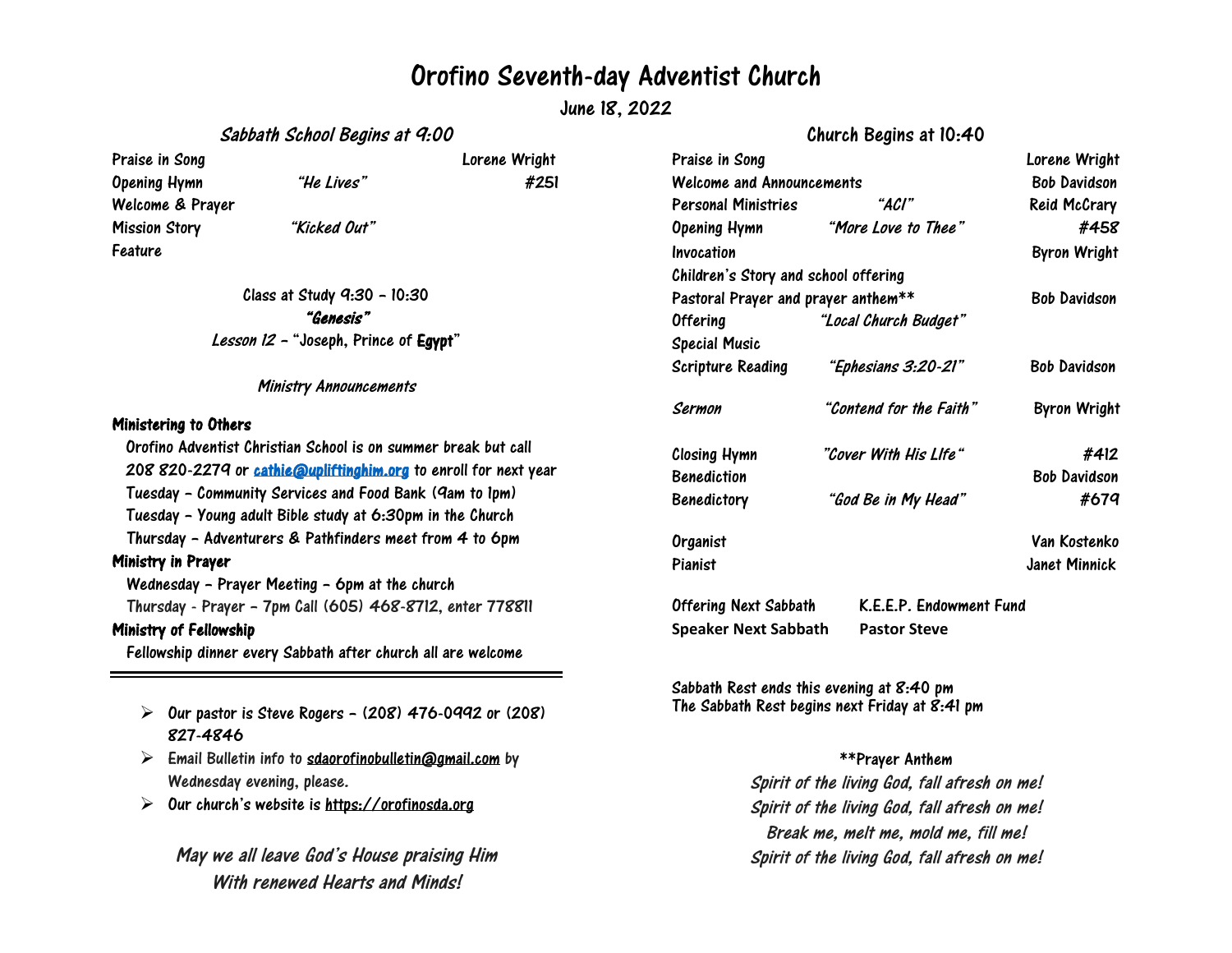## Orofino Seventh-day Adventist Church

June 18, 2022

Sabbath School Begins at 9:00

Church Begins at 10:40

| Praise in Song       |                                                      | Lorene Wright |
|----------------------|------------------------------------------------------|---------------|
| Opening Hymn         | "He Lives"                                           | #251          |
| Welcome & Prayer     |                                                      |               |
| <b>Mission Story</b> | "Kicked Out"                                         |               |
| Feature              |                                                      |               |
|                      | Class at Study 9:30 - 10:30                          |               |
|                      | "Genesis"                                            |               |
|                      | <i>Lesson 12 -</i> "Joseph, Prince of <b>Egypt</b> " |               |

Ministry Announcements

### Ministering to Others

Orofino Adventist Christian School is on summer break but call 208 820-2279 or [cathie@upliftinghim.org](mailto:cathie@upliftinghim.org) to enroll for next year Tuesday – Community Services and Food Bank (9am to 1pm) Tuesday – Young adult Bible study at 6:30pm in the Church Thursday – Adventurers & Pathfinders meet from 4 to 6pm Ministry in Prayer Wednesday – Prayer Meeting – 6pm at the church Thursday - Prayer – 7pm Call (605) 468-8712, enter 778811 Ministry of Fellowship Fellowship dinner every Sabbath after church all are welcome

- $\triangleright$  Our pastor is Steve Rogers (208) 476-0992 or (208) 827-4846
- $\triangleright$  Email Bulletin info to [sdaorofinobulletin@gmail.com](mailto:sdaorofinobulletin@gmail.com) by Wednesday evening, please.
- $\triangleright$ Our church's website is [https://orofinosda.org](https://orofinosda.org/)

## May we all leave God's House praising Him With renewed Hearts and Minds!

| Praise in Song                       |                         | Lorene Wright       |
|--------------------------------------|-------------------------|---------------------|
| <b>Welcome and Announcements</b>     | <b>Bob Davidson</b>     |                     |
| Personal Ministries                  | "Aci"                   | <b>Reid McCrary</b> |
| Opening Hymn                         | "More Love to Thee"     | #458                |
| Invocation                           |                         | <b>Byron Wright</b> |
| Children's Story and school offering |                         |                     |
| Pastoral Prayer and prayer anthem**  | <b>Bob Davidson</b>     |                     |
| <b>Offering</b>                      | "Local Church Budget"   |                     |
| <b>Special Music</b>                 |                         |                     |
| Scripture Reading                    | "Ephesians 3:20-21"     | <b>Bob Davidson</b> |
| Sermon                               | "Contend for the Faith" | <b>Byron Wright</b> |
| <b>Closing Hymn</b>                  | "Cover With His Llfe"   | #412                |
| <b>Benediction</b>                   |                         | <b>Bob Davidson</b> |
| <b>Benedictory</b>                   | "God Be in My Head"     | #679                |
| Organist                             |                         | Van Kostenko        |
| Pianist                              |                         | Janet Minnick       |
| <b>Offering Next Sabbath</b>         | K.E.E.P. Endowment Fund |                     |

Sabbath Rest ends this evening at 8:40 pm The Sabbath Rest begins next Friday at 8:41 pm

**Speaker Next Sabbath Pastor Steve**

#### \*\*Prayer Anthem

Spirit of the living God, fall afresh on me! Spirit of the living God, fall afresh on me! Break me, melt me, mold me, fill me! Spirit of the living God, fall afresh on me!